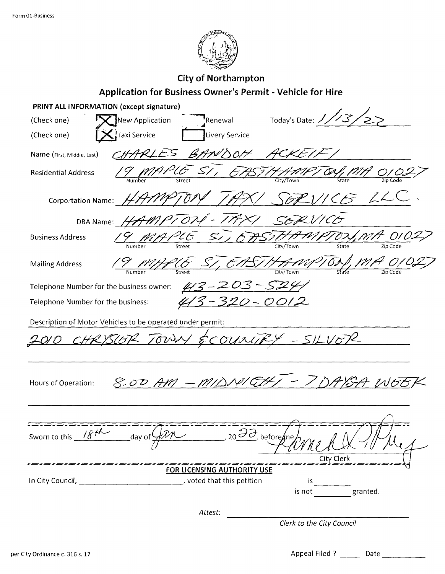

## **City of Northampton** Application for Business Owner's Permit - Vehicle for Hire

|                                                            | PRINT ALL INFORMATION (except signature) |                                         |                           |  |  |  |  |
|------------------------------------------------------------|------------------------------------------|-----------------------------------------|---------------------------|--|--|--|--|
| (Check one)                                                | New Application<br>Renewal               | Today's Date: 1/13/                     |                           |  |  |  |  |
| (Check one)                                                | ំ Faxi Service                           | Livery Service                          |                           |  |  |  |  |
| Name (First, Middle, Last)                                 | BANDOH                                   |                                         |                           |  |  |  |  |
| <b>Residential Address</b>                                 | 5/                                       |                                         |                           |  |  |  |  |
| Corportation Name: $\cancel{\mathcal{H}}$                  |                                          |                                         | LL                        |  |  |  |  |
| DBA Name:                                                  | $\hat{\boldsymbol{\tau}}$                | $J\mathcal{H}\times$<br>SERVICO         |                           |  |  |  |  |
| <b>Business Address</b>                                    | $205$ $51$                               | FASIHA                                  | OSI, MB<br>State          |  |  |  |  |
| <b>Mailing Address</b>                                     | FU                                       | ASTHAMPTON MA                           |                           |  |  |  |  |
| Telephone Number for the business owner:<br>$413 - 20$     |                                          |                                         |                           |  |  |  |  |
| 320-0012<br>Telephone Number for the business:             |                                          |                                         |                           |  |  |  |  |
| Description of Motor Vehicles to be operated under permit: |                                          |                                         |                           |  |  |  |  |
| HRYSLOP TOWN & COUNTRY - SILVOR                            |                                          |                                         |                           |  |  |  |  |
|                                                            |                                          |                                         |                           |  |  |  |  |
| Hours of Operation:                                        | 8.00 AM - MIDNI CHI                      |                                         |                           |  |  |  |  |
|                                                            |                                          |                                         |                           |  |  |  |  |
| Sworn to this $184$                                        | day of                                   | $20\frac{37}{2}$ , before $\frac{1}{2}$ |                           |  |  |  |  |
|                                                            | FOR LICENSING AUTHORITY USE              |                                         | City Clerk                |  |  |  |  |
| In City Council, _                                         | , voted that this petition               | is                                      |                           |  |  |  |  |
|                                                            |                                          | is not                                  | granted.                  |  |  |  |  |
|                                                            | Attest:                                  |                                         |                           |  |  |  |  |
|                                                            |                                          |                                         | Clerk to the City Council |  |  |  |  |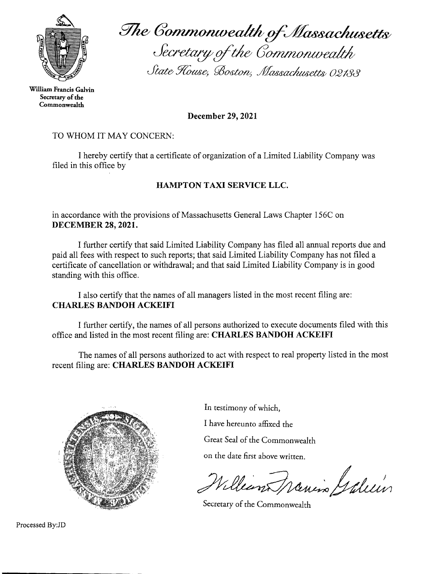

William Francis Galvin Secretary of the Commonwealth

The Commonwealth of Massachusetts<br>Secretary of the Commonwealth

State House, Boston, Massachusetts 02133

December 29, 2021

## TO WHOM IT MAY CONCERN:

I hereby certify that a certificate of organization of a Limited Liability Company was filed in this office by

## **HAMPTON TAXI SERVICE LLC.**

in accordance with the provisions of Massachusetts General Laws Chapter 156C on **DECEMBER 28, 2021.** 

I further certify that said Limited Liability Company has filed all annual reports due and paid all fees with respect to such reports; that said Limited Liability Company has not filed a certificate of cancellation or withdrawal; and that said Limited Liability Company is in good standing with this office.

I also certify that the names of all managers listed in the most recent filing are: **CHARLES BANDOH ACKEIFI** 

I further certify, the names of all persons authorized to execute documents filed with this office and listed in the most recent filing are: CHARLES BANDOH ACKEIFI

The names of all persons authorized to act with respect to real property listed in the most recent filing are: CHARLES BANDOH ACKEIFI



In testimony of which,

I have hereunto affixed the

Great Seal of the Commonwealth

on the date first above written.

William Francis Galein

Secretary of the Commonwealth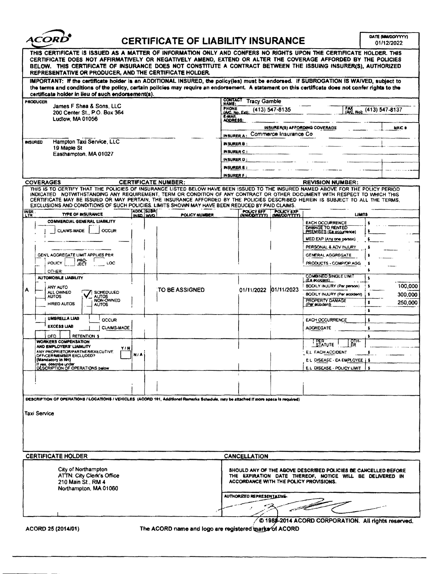

## $ACORD^{\bullet}$  CERTIFICATE OF LIABILITY INSURANCE  $\overline{\bigcirc_{01/12/2022}^{\text{out } \text{f6 M40007771}}$

| THIS CERTIFICATE IS ISSUED AS A MATTER OF INFORMATION ONLY AND CONFERS NO RIGHTS UPON THE CERTIFICATE HOLDER. THIS                                                                                                                                                                                                                                                                                                                                                                                |                              |                                       |                                                                                                                                                                      |                   |                                                                               |  |  |  |
|---------------------------------------------------------------------------------------------------------------------------------------------------------------------------------------------------------------------------------------------------------------------------------------------------------------------------------------------------------------------------------------------------------------------------------------------------------------------------------------------------|------------------------------|---------------------------------------|----------------------------------------------------------------------------------------------------------------------------------------------------------------------|-------------------|-------------------------------------------------------------------------------|--|--|--|
| CERTIFICATE DOES NOT AFFIRMATIVELY OR NEGATIVELY AMEND, EXTEND OR ALTER THE COVERAGE AFFORDED BY THE POLICIES<br>BELOW. THIS CERTIFICATE OF INSURANCE DOES NOT CONSTITUTE A CONTRACT BETWEEN THE ISSUING INSURER(S), AUTHORIZED<br>REPRESENTATIVE OR PRODUCER, AND THE CERTIFICATE HOLDER.                                                                                                                                                                                                        |                              |                                       |                                                                                                                                                                      |                   |                                                                               |  |  |  |
| IMPORTANT: If the certificate holder is an ADDITIONAL INSURED, the policy(les) must be endorsed. If SUBROGATION IS WAIVED, subject to<br>the terms and conditions of the policy, certain policies may require an endorsement. A statement on this certificate does not confer rights to the                                                                                                                                                                                                       |                              |                                       |                                                                                                                                                                      |                   |                                                                               |  |  |  |
| certificate holder in lieu of such endorsement(s).<br><b>PRODUCER</b>                                                                                                                                                                                                                                                                                                                                                                                                                             |                              | <b>CONTACT</b><br><b>Tracy Gamble</b> |                                                                                                                                                                      |                   |                                                                               |  |  |  |
| James F Shea & Sons, LLC                                                                                                                                                                                                                                                                                                                                                                                                                                                                          |                              |                                       | NAME:<br><b>PHONE</b><br>$(413)$ 547-8135<br>[AC No): (413) 547-8137                                                                                                 |                   |                                                                               |  |  |  |
| 200 Center St., P.O. Box 364<br>Ludiow, MA 01056                                                                                                                                                                                                                                                                                                                                                                                                                                                  |                              |                                       | <b>IAIC. No. Extl.</b><br>E-MAIL<br>ADORESS:                                                                                                                         |                   |                                                                               |  |  |  |
|                                                                                                                                                                                                                                                                                                                                                                                                                                                                                                   |                              |                                       | <b>INSURER(S) AFFORDING COVERAGE</b><br>NAIC #                                                                                                                       |                   |                                                                               |  |  |  |
|                                                                                                                                                                                                                                                                                                                                                                                                                                                                                                   |                              |                                       | Commerce Insurance Co.<br><b>INSURER A</b>                                                                                                                           |                   |                                                                               |  |  |  |
| Hampton Taxi Service, LLC<br><b>INSURED</b><br>19 Maple St                                                                                                                                                                                                                                                                                                                                                                                                                                        |                              |                                       | INSURER B :                                                                                                                                                          |                   |                                                                               |  |  |  |
| Easthampton, MA 01027                                                                                                                                                                                                                                                                                                                                                                                                                                                                             |                              |                                       | INSURER C :                                                                                                                                                          |                   |                                                                               |  |  |  |
|                                                                                                                                                                                                                                                                                                                                                                                                                                                                                                   |                              |                                       | INSURER D:                                                                                                                                                           |                   |                                                                               |  |  |  |
|                                                                                                                                                                                                                                                                                                                                                                                                                                                                                                   |                              |                                       | <b>INSURER E :</b><br>INSURER F:                                                                                                                                     |                   |                                                                               |  |  |  |
| <b>COVERAGES</b>                                                                                                                                                                                                                                                                                                                                                                                                                                                                                  |                              | <b>CERTIFICATE NUMBER:</b>            | <b>REVISION NUMBER:</b>                                                                                                                                              |                   |                                                                               |  |  |  |
| THIS IS TO CERTIFY THAT THE POLICIES OF INSURANCE LISTED BELOW HAVE BEEN ISSUED TO THE INSURED NAMED ABOVE FOR THE POLICY PERIOD<br>INDICATED NOTWITHSTANDING ANY REQUIREMENT, TERM OR CONDITION OF ANY CONTRACT OR OTHER DOCUMENT WITH RESPECT TO WHICH THIS<br>CERTIFICATE MAY BE ISSUED OR MAY PERTAIN, THE INSURANCE AFFORDED BY THE POLICIES DESCRIBED HEREIN IS SUBJECT TO ALL THE TERMS.<br>EXCLUSIONS AND CONDITIONS OF SUCH POLICIES. LIMITS SHOWN MAY HAVE BEEN REDUCED BY PAID CLAIMS. |                              |                                       |                                                                                                                                                                      |                   |                                                                               |  |  |  |
| INSR.<br><b>TYPE OF INSURANCE</b>                                                                                                                                                                                                                                                                                                                                                                                                                                                                 | <b>ADDL SUBR</b><br>INSO WVO | POLICY NUMBER                         | POUCY EFF                                                                                                                                                            | <b>POLICY EXP</b> | <b>LIMITS</b>                                                                 |  |  |  |
| COMMERCIAL GENERAL LIABILITY<br><b>CLAIMS-MADE</b><br>OCCUR                                                                                                                                                                                                                                                                                                                                                                                                                                       |                              |                                       |                                                                                                                                                                      |                   | <b>EACH OCCURRENCE</b><br>DAMAGE TO RENTED<br><b>PREMISES (Ea occurrence)</b> |  |  |  |
|                                                                                                                                                                                                                                                                                                                                                                                                                                                                                                   |                              |                                       |                                                                                                                                                                      |                   | MED EXP (Any one person)                                                      |  |  |  |
|                                                                                                                                                                                                                                                                                                                                                                                                                                                                                                   |                              |                                       |                                                                                                                                                                      |                   | PERSONAL & ADV INJURY                                                         |  |  |  |
| GEN'L AGGREGATE LIMIT APPLIES PER<br>PRO-<br>POLICY<br>LOC                                                                                                                                                                                                                                                                                                                                                                                                                                        |                              |                                       |                                                                                                                                                                      |                   | GENERAL AGGREGATE<br>PRODUCTS - COMP/OP AGG                                   |  |  |  |
| JECT<br>OTHER:                                                                                                                                                                                                                                                                                                                                                                                                                                                                                    |                              |                                       |                                                                                                                                                                      |                   |                                                                               |  |  |  |
| <b>AUTOMOBILE LIABILITY</b>                                                                                                                                                                                                                                                                                                                                                                                                                                                                       |                              |                                       |                                                                                                                                                                      |                   | <b>COMBINED SINGLE LIMIT</b><br>(Ea accident)                                 |  |  |  |
| ANY AUTO                                                                                                                                                                                                                                                                                                                                                                                                                                                                                          |                              | TO BE ASSIGNED                        | 01/11/2022                                                                                                                                                           | 01/11/2023        | BODILY INJURY (Per person)<br>100,000                                         |  |  |  |
| ALL OWNED<br>SCHEDULED<br><b>AUTOS</b><br>AUTOS<br>NON-OWNED                                                                                                                                                                                                                                                                                                                                                                                                                                      |                              |                                       |                                                                                                                                                                      |                   | BODILY INJURY (Per accident)<br>300.000<br>s<br>PROPERTY DAMAGE               |  |  |  |
| <b>HIRED AUTOS</b><br>AUTOS                                                                                                                                                                                                                                                                                                                                                                                                                                                                       |                              |                                       |                                                                                                                                                                      |                   | 250,000<br>\$<br>(Per accident)                                               |  |  |  |
| UMBRELLA LIAB<br>OCCUR                                                                                                                                                                                                                                                                                                                                                                                                                                                                            |                              |                                       |                                                                                                                                                                      |                   | s                                                                             |  |  |  |
| <b>EXCESS LIAB</b><br><b>CLAIMS-MADE</b>                                                                                                                                                                                                                                                                                                                                                                                                                                                          |                              |                                       |                                                                                                                                                                      |                   | \$<br><b>EACH OCCURRENCE</b><br>AGGREGATE<br>s                                |  |  |  |
| <b>RETENTION \$</b><br>DED                                                                                                                                                                                                                                                                                                                                                                                                                                                                        |                              |                                       |                                                                                                                                                                      |                   |                                                                               |  |  |  |
| <b>WORKERS COMPENSATION</b><br>AND EMPLOYERS' LIABILITY                                                                                                                                                                                                                                                                                                                                                                                                                                           |                              |                                       |                                                                                                                                                                      |                   | <b>PER</b><br>STATUTE<br><b>OTH-</b><br>ER                                    |  |  |  |
| y i N<br>ANY PROPRIETOR/PARTNER/EXECUTIVE<br>OFFICER MEMBER EXCLUDED?                                                                                                                                                                                                                                                                                                                                                                                                                             | n) a                         |                                       |                                                                                                                                                                      |                   | E.L. EACH ACCIDENT                                                            |  |  |  |
| (Mandatory in NH)<br>If yes, describe under<br>DESCRIPTION OF OPERATIONS below                                                                                                                                                                                                                                                                                                                                                                                                                    |                              |                                       |                                                                                                                                                                      |                   | EL DISEASE - EA EMPLOYEE   \$                                                 |  |  |  |
|                                                                                                                                                                                                                                                                                                                                                                                                                                                                                                   |                              |                                       |                                                                                                                                                                      |                   | E.L. DISEASE - POLICY LIMIT<br>s                                              |  |  |  |
|                                                                                                                                                                                                                                                                                                                                                                                                                                                                                                   |                              |                                       |                                                                                                                                                                      |                   |                                                                               |  |  |  |
|                                                                                                                                                                                                                                                                                                                                                                                                                                                                                                   |                              |                                       |                                                                                                                                                                      |                   |                                                                               |  |  |  |
| DESCRIPTION OF OPERATIONS / LOCATIONS / VEHICLES (ACORD 101, Additional Remarks Schadule, may be attached if more space is required)                                                                                                                                                                                                                                                                                                                                                              |                              |                                       |                                                                                                                                                                      |                   |                                                                               |  |  |  |
| <b>Taxi Service</b>                                                                                                                                                                                                                                                                                                                                                                                                                                                                               |                              |                                       |                                                                                                                                                                      |                   |                                                                               |  |  |  |
|                                                                                                                                                                                                                                                                                                                                                                                                                                                                                                   |                              |                                       |                                                                                                                                                                      |                   |                                                                               |  |  |  |
|                                                                                                                                                                                                                                                                                                                                                                                                                                                                                                   |                              |                                       |                                                                                                                                                                      |                   |                                                                               |  |  |  |
|                                                                                                                                                                                                                                                                                                                                                                                                                                                                                                   |                              |                                       |                                                                                                                                                                      |                   |                                                                               |  |  |  |
| <b>CERTIFICATE HOLDER</b>                                                                                                                                                                                                                                                                                                                                                                                                                                                                         |                              |                                       | <b>CANCELLATION</b>                                                                                                                                                  |                   |                                                                               |  |  |  |
| City of Northampton<br>ATTN: City Clerk's Office<br>210 Main St., RM 4<br>Northampton, MA 01060                                                                                                                                                                                                                                                                                                                                                                                                   |                              |                                       | SHOULD ANY OF THE ABOVE DESCRIBED POLICIES BE CANCELLED BEFORE<br>THE EXPIRATION DATE THEREOF, NOTICE WILL BE DELIVERED IN<br>ACCORDANCE WITH THE POLICY PROVISIONS. |                   |                                                                               |  |  |  |
|                                                                                                                                                                                                                                                                                                                                                                                                                                                                                                   |                              |                                       | AUTHORIZED REPRESENTATIVE-                                                                                                                                           |                   |                                                                               |  |  |  |
|                                                                                                                                                                                                                                                                                                                                                                                                                                                                                                   |                              |                                       |                                                                                                                                                                      |                   |                                                                               |  |  |  |
|                                                                                                                                                                                                                                                                                                                                                                                                                                                                                                   |                              |                                       |                                                                                                                                                                      |                   |                                                                               |  |  |  |
| © 198\$-2014 ACORD CORPORATION. All rights reserved.                                                                                                                                                                                                                                                                                                                                                                                                                                              |                              |                                       |                                                                                                                                                                      |                   |                                                                               |  |  |  |
| The ACORD name and logo are registered marks of ACORD<br>ACORD 25 (2014/01)                                                                                                                                                                                                                                                                                                                                                                                                                       |                              |                                       |                                                                                                                                                                      |                   |                                                                               |  |  |  |